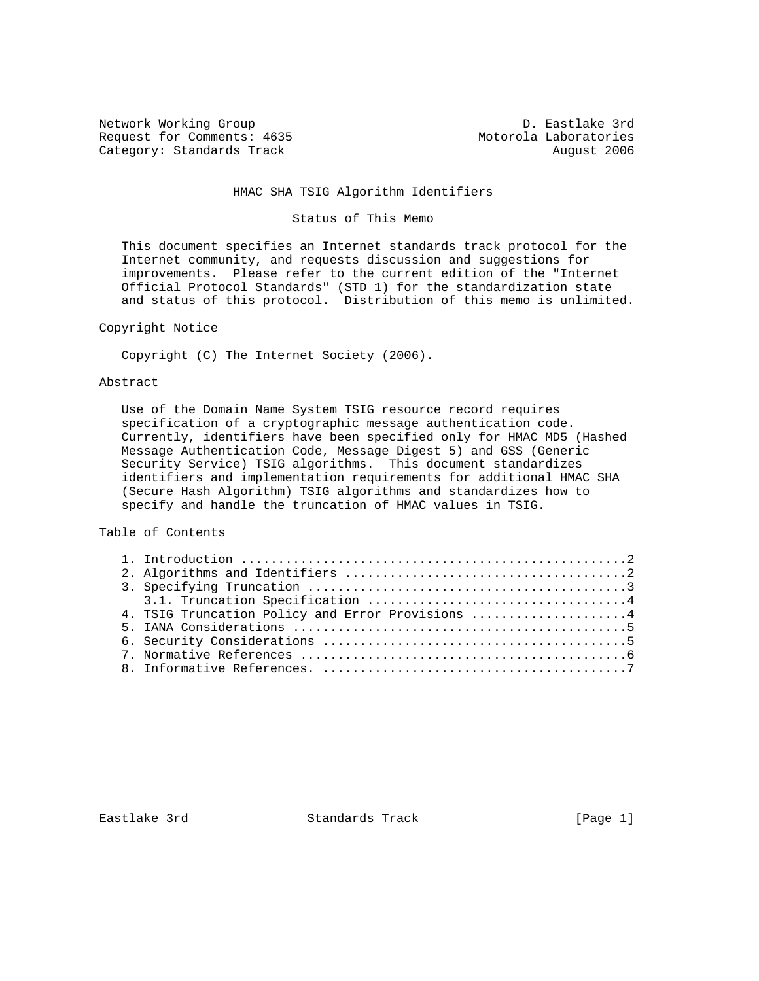Network Working Group D. Eastlake 3rd Request for Comments: 4635 Motorola Laboratories Category: Standards Track August 2006

## HMAC SHA TSIG Algorithm Identifiers

#### Status of This Memo

 This document specifies an Internet standards track protocol for the Internet community, and requests discussion and suggestions for improvements. Please refer to the current edition of the "Internet Official Protocol Standards" (STD 1) for the standardization state and status of this protocol. Distribution of this memo is unlimited.

### Copyright Notice

Copyright (C) The Internet Society (2006).

### Abstract

 Use of the Domain Name System TSIG resource record requires specification of a cryptographic message authentication code. Currently, identifiers have been specified only for HMAC MD5 (Hashed Message Authentication Code, Message Digest 5) and GSS (Generic Security Service) TSIG algorithms. This document standardizes identifiers and implementation requirements for additional HMAC SHA (Secure Hash Algorithm) TSIG algorithms and standardizes how to specify and handle the truncation of HMAC values in TSIG.

Table of Contents

|  | 4. TSIG Truncation Policy and Error Provisions 4 |
|--|--------------------------------------------------|
|  |                                                  |
|  |                                                  |
|  |                                                  |
|  |                                                  |

Eastlake 3rd Standards Track [Page 1]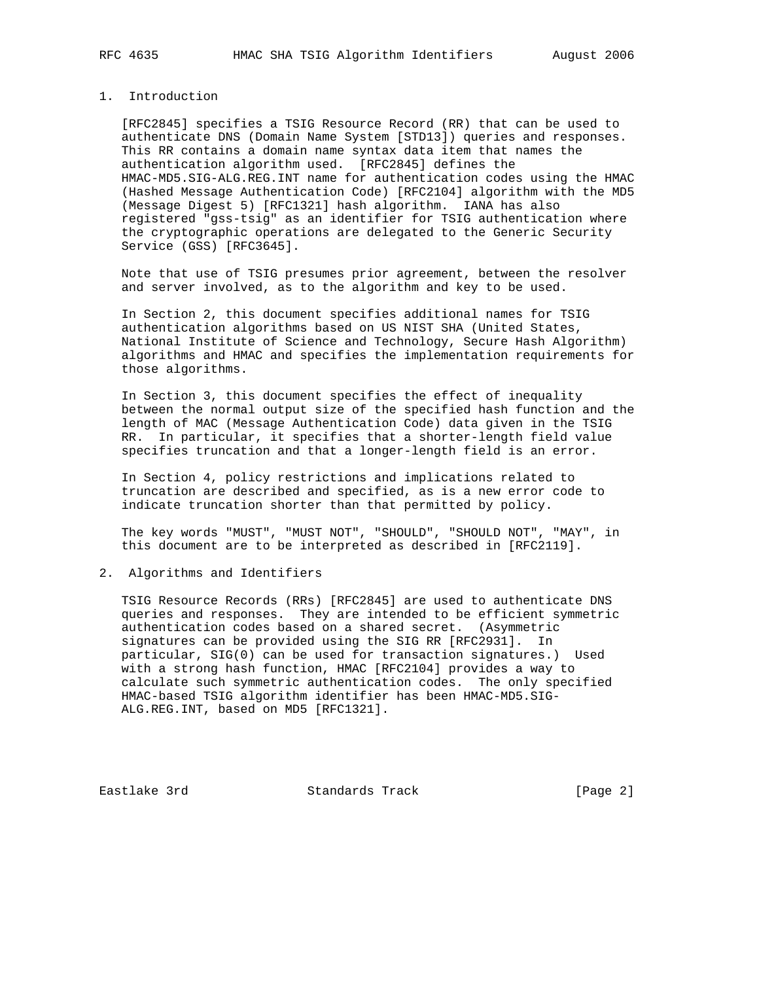## 1. Introduction

 [RFC2845] specifies a TSIG Resource Record (RR) that can be used to authenticate DNS (Domain Name System [STD13]) queries and responses. This RR contains a domain name syntax data item that names the authentication algorithm used. [RFC2845] defines the HMAC-MD5.SIG-ALG.REG.INT name for authentication codes using the HMAC (Hashed Message Authentication Code) [RFC2104] algorithm with the MD5 (Message Digest 5) [RFC1321] hash algorithm. IANA has also registered "gss-tsig" as an identifier for TSIG authentication where the cryptographic operations are delegated to the Generic Security Service (GSS) [RFC3645].

 Note that use of TSIG presumes prior agreement, between the resolver and server involved, as to the algorithm and key to be used.

 In Section 2, this document specifies additional names for TSIG authentication algorithms based on US NIST SHA (United States, National Institute of Science and Technology, Secure Hash Algorithm) algorithms and HMAC and specifies the implementation requirements for those algorithms.

 In Section 3, this document specifies the effect of inequality between the normal output size of the specified hash function and the length of MAC (Message Authentication Code) data given in the TSIG RR. In particular, it specifies that a shorter-length field value specifies truncation and that a longer-length field is an error.

 In Section 4, policy restrictions and implications related to truncation are described and specified, as is a new error code to indicate truncation shorter than that permitted by policy.

 The key words "MUST", "MUST NOT", "SHOULD", "SHOULD NOT", "MAY", in this document are to be interpreted as described in [RFC2119].

2. Algorithms and Identifiers

 TSIG Resource Records (RRs) [RFC2845] are used to authenticate DNS queries and responses. They are intended to be efficient symmetric authentication codes based on a shared secret. (Asymmetric signatures can be provided using the SIG RR [RFC2931]. In particular, SIG(0) can be used for transaction signatures.) Used with a strong hash function, HMAC [RFC2104] provides a way to calculate such symmetric authentication codes. The only specified HMAC-based TSIG algorithm identifier has been HMAC-MD5.SIG- ALG.REG.INT, based on MD5 [RFC1321].

Eastlake 3rd Standards Track [Page 2]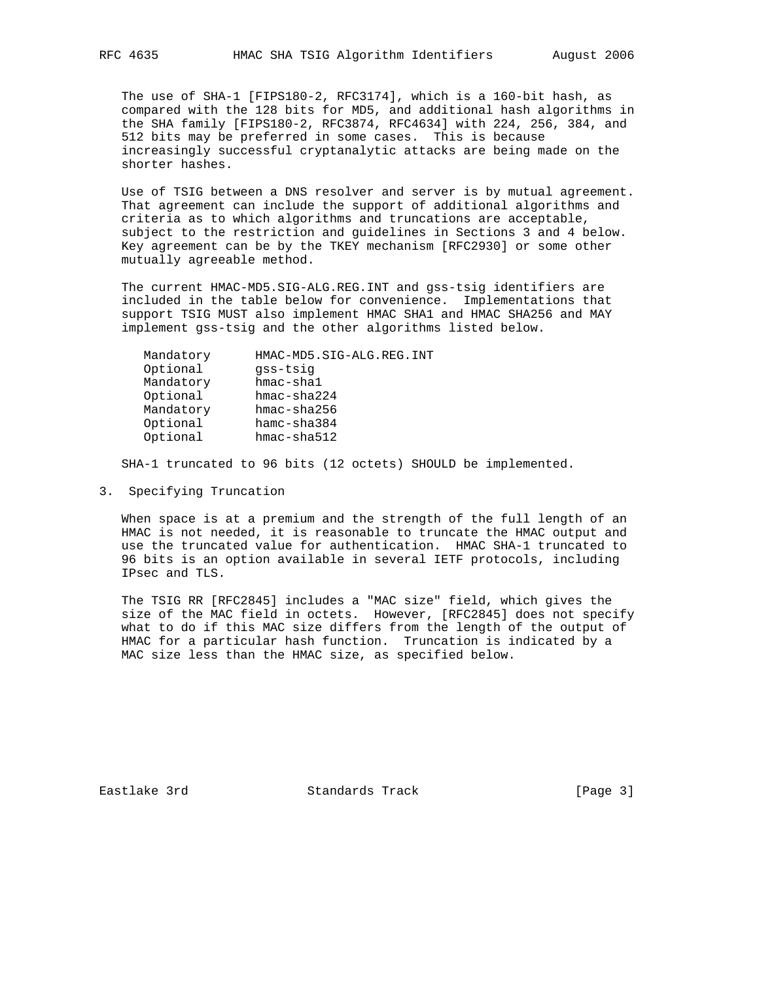The use of SHA-1 [FIPS180-2, RFC3174], which is a 160-bit hash, as compared with the 128 bits for MD5, and additional hash algorithms in the SHA family [FIPS180-2, RFC3874, RFC4634] with 224, 256, 384, and 512 bits may be preferred in some cases. This is because increasingly successful cryptanalytic attacks are being made on the shorter hashes.

 Use of TSIG between a DNS resolver and server is by mutual agreement. That agreement can include the support of additional algorithms and criteria as to which algorithms and truncations are acceptable, subject to the restriction and guidelines in Sections 3 and 4 below. Key agreement can be by the TKEY mechanism [RFC2930] or some other mutually agreeable method.

 The current HMAC-MD5.SIG-ALG.REG.INT and gss-tsig identifiers are included in the table below for convenience. Implementations that support TSIG MUST also implement HMAC SHA1 and HMAC SHA256 and MAY implement gss-tsig and the other algorithms listed below.

| Mandatory | HMAC-MD5.SIG-ALG.REG.INT |
|-----------|--------------------------|
| Optional  | qss-tsiq                 |
| Mandatory | $h$ mac-shal             |
| Optional  | $hmac - sha224$          |
| Mandatory | $hmac - sha256$          |
| Optional  | $h$ amc-sha $384$        |
| Optional  | $hmac - sha512$          |
|           |                          |

SHA-1 truncated to 96 bits (12 octets) SHOULD be implemented.

3. Specifying Truncation

 When space is at a premium and the strength of the full length of an HMAC is not needed, it is reasonable to truncate the HMAC output and use the truncated value for authentication. HMAC SHA-1 truncated to 96 bits is an option available in several IETF protocols, including IPsec and TLS.

 The TSIG RR [RFC2845] includes a "MAC size" field, which gives the size of the MAC field in octets. However, [RFC2845] does not specify what to do if this MAC size differs from the length of the output of HMAC for a particular hash function. Truncation is indicated by a MAC size less than the HMAC size, as specified below.

Eastlake 3rd Standards Track [Page 3]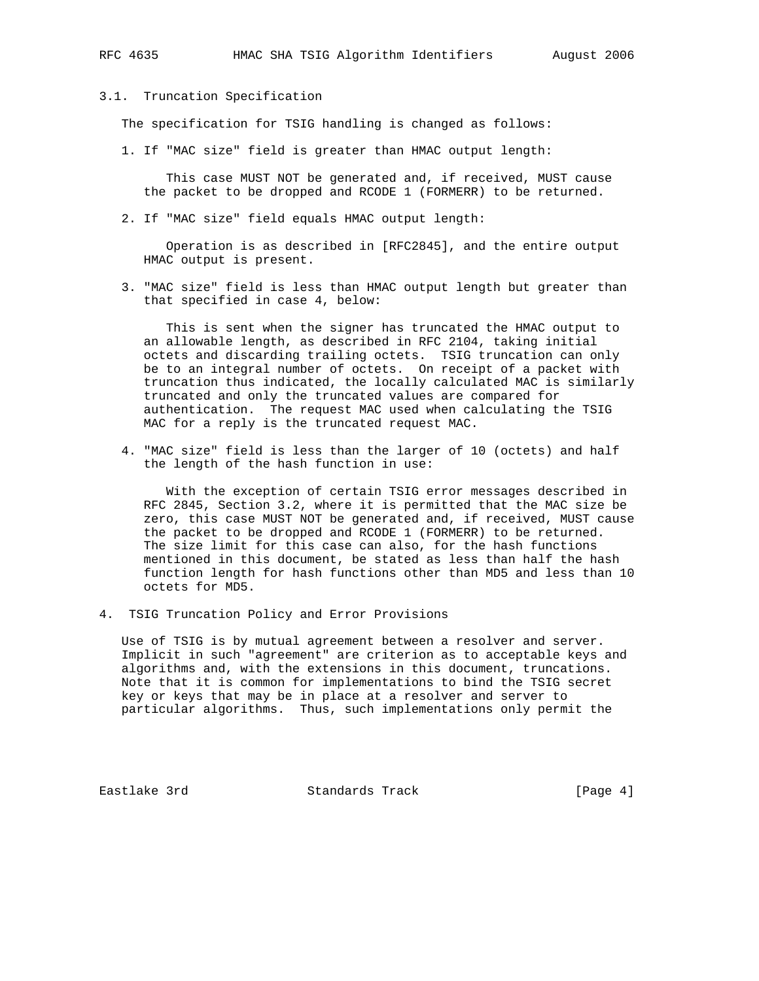# 3.1. Truncation Specification

The specification for TSIG handling is changed as follows:

1. If "MAC size" field is greater than HMAC output length:

 This case MUST NOT be generated and, if received, MUST cause the packet to be dropped and RCODE 1 (FORMERR) to be returned.

2. If "MAC size" field equals HMAC output length:

 Operation is as described in [RFC2845], and the entire output HMAC output is present.

 3. "MAC size" field is less than HMAC output length but greater than that specified in case 4, below:

 This is sent when the signer has truncated the HMAC output to an allowable length, as described in RFC 2104, taking initial octets and discarding trailing octets. TSIG truncation can only be to an integral number of octets. On receipt of a packet with truncation thus indicated, the locally calculated MAC is similarly truncated and only the truncated values are compared for authentication. The request MAC used when calculating the TSIG MAC for a reply is the truncated request MAC.

 4. "MAC size" field is less than the larger of 10 (octets) and half the length of the hash function in use:

 With the exception of certain TSIG error messages described in RFC 2845, Section 3.2, where it is permitted that the MAC size be zero, this case MUST NOT be generated and, if received, MUST cause the packet to be dropped and RCODE 1 (FORMERR) to be returned. The size limit for this case can also, for the hash functions mentioned in this document, be stated as less than half the hash function length for hash functions other than MD5 and less than 10 octets for MD5.

4. TSIG Truncation Policy and Error Provisions

 Use of TSIG is by mutual agreement between a resolver and server. Implicit in such "agreement" are criterion as to acceptable keys and algorithms and, with the extensions in this document, truncations. Note that it is common for implementations to bind the TSIG secret key or keys that may be in place at a resolver and server to particular algorithms. Thus, such implementations only permit the

Eastlake 3rd Standards Track [Page 4]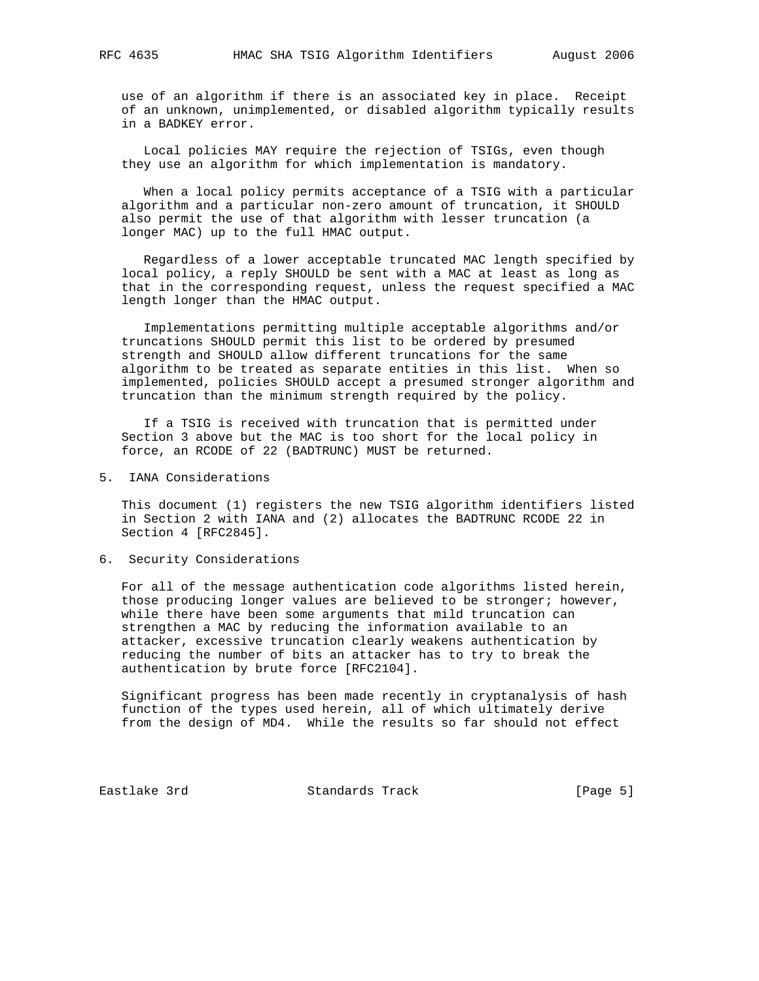use of an algorithm if there is an associated key in place. Receipt of an unknown, unimplemented, or disabled algorithm typically results in a BADKEY error.

 Local policies MAY require the rejection of TSIGs, even though they use an algorithm for which implementation is mandatory.

 When a local policy permits acceptance of a TSIG with a particular algorithm and a particular non-zero amount of truncation, it SHOULD also permit the use of that algorithm with lesser truncation (a longer MAC) up to the full HMAC output.

 Regardless of a lower acceptable truncated MAC length specified by local policy, a reply SHOULD be sent with a MAC at least as long as that in the corresponding request, unless the request specified a MAC length longer than the HMAC output.

 Implementations permitting multiple acceptable algorithms and/or truncations SHOULD permit this list to be ordered by presumed strength and SHOULD allow different truncations for the same algorithm to be treated as separate entities in this list. When so implemented, policies SHOULD accept a presumed stronger algorithm and truncation than the minimum strength required by the policy.

 If a TSIG is received with truncation that is permitted under Section 3 above but the MAC is too short for the local policy in force, an RCODE of 22 (BADTRUNC) MUST be returned.

5. IANA Considerations

 This document (1) registers the new TSIG algorithm identifiers listed in Section 2 with IANA and (2) allocates the BADTRUNC RCODE 22 in Section 4 [RFC2845].

6. Security Considerations

 For all of the message authentication code algorithms listed herein, those producing longer values are believed to be stronger; however, while there have been some arguments that mild truncation can strengthen a MAC by reducing the information available to an attacker, excessive truncation clearly weakens authentication by reducing the number of bits an attacker has to try to break the authentication by brute force [RFC2104].

 Significant progress has been made recently in cryptanalysis of hash function of the types used herein, all of which ultimately derive from the design of MD4. While the results so far should not effect

Eastlake 3rd Standards Track [Page 5]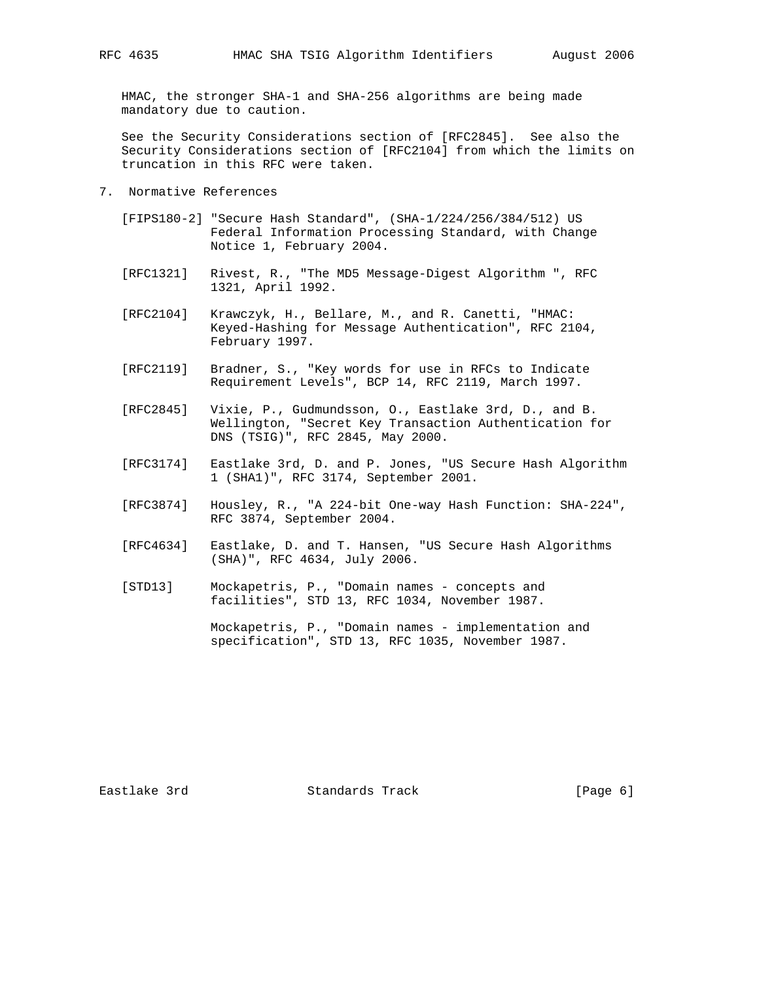HMAC, the stronger SHA-1 and SHA-256 algorithms are being made mandatory due to caution.

 See the Security Considerations section of [RFC2845]. See also the Security Considerations section of [RFC2104] from which the limits on truncation in this RFC were taken.

- 7. Normative References
	- [FIPS180-2] "Secure Hash Standard", (SHA-1/224/256/384/512) US Federal Information Processing Standard, with Change Notice 1, February 2004.
	- [RFC1321] Rivest, R., "The MD5 Message-Digest Algorithm ", RFC 1321, April 1992.
	- [RFC2104] Krawczyk, H., Bellare, M., and R. Canetti, "HMAC: Keyed-Hashing for Message Authentication", RFC 2104, February 1997.
	- [RFC2119] Bradner, S., "Key words for use in RFCs to Indicate Requirement Levels", BCP 14, RFC 2119, March 1997.
	- [RFC2845] Vixie, P., Gudmundsson, O., Eastlake 3rd, D., and B. Wellington, "Secret Key Transaction Authentication for DNS (TSIG)", RFC 2845, May 2000.
	- [RFC3174] Eastlake 3rd, D. and P. Jones, "US Secure Hash Algorithm 1 (SHA1)", RFC 3174, September 2001.
	- [RFC3874] Housley, R., "A 224-bit One-way Hash Function: SHA-224", RFC 3874, September 2004.
	- [RFC4634] Eastlake, D. and T. Hansen, "US Secure Hash Algorithms (SHA)", RFC 4634, July 2006.
	- [STD13] Mockapetris, P., "Domain names concepts and facilities", STD 13, RFC 1034, November 1987.

 Mockapetris, P., "Domain names - implementation and specification", STD 13, RFC 1035, November 1987.

Eastlake 3rd Standards Track [Page 6]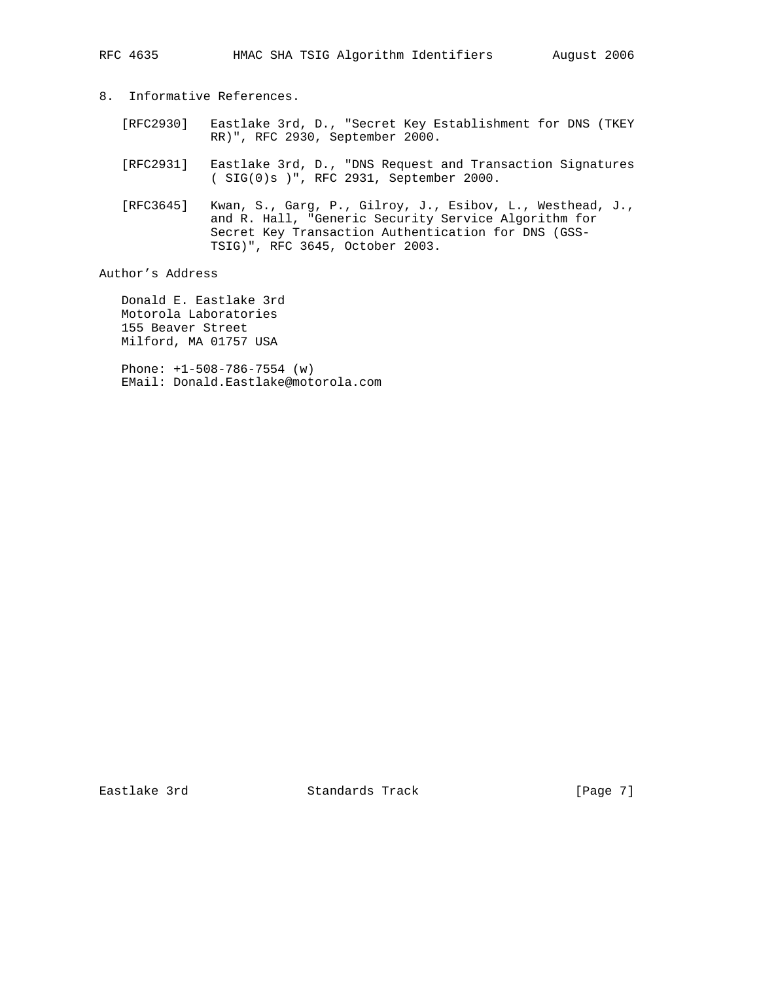- 8. Informative References.
	- [RFC2930] Eastlake 3rd, D., "Secret Key Establishment for DNS (TKEY RR)", RFC 2930, September 2000.
	- [RFC2931] Eastlake 3rd, D., "DNS Request and Transaction Signatures ( SIG(0)s )", RFC 2931, September 2000.
	- [RFC3645] Kwan, S., Garg, P., Gilroy, J., Esibov, L., Westhead, J., and R. Hall, "Generic Security Service Algorithm for Secret Key Transaction Authentication for DNS (GSS- TSIG)", RFC 3645, October 2003.

Author's Address

 Donald E. Eastlake 3rd Motorola Laboratories 155 Beaver Street Milford, MA 01757 USA

 Phone: +1-508-786-7554 (w) EMail: Donald.Eastlake@motorola.com

Eastlake 3rd Standards Track [Page 7]